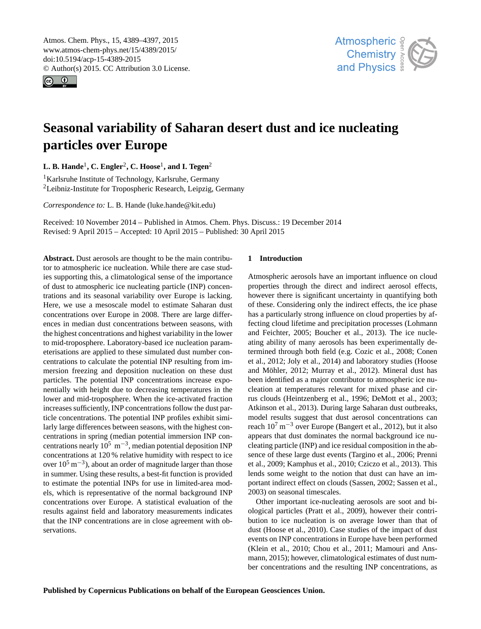<span id="page-0-1"></span>Atmos. Chem. Phys., 15, 4389–4397, 2015 www.atmos-chem-phys.net/15/4389/2015/ doi:10.5194/acp-15-4389-2015 © Author(s) 2015. CC Attribution 3.0 License.





# **Seasonal variability of Saharan desert dust and ice nucleating particles over Europe**

**L. B. Hande**[1](#page-0-0) **, C. Engler**[2](#page-0-0) **, C. Hoose**[1](#page-0-0) **, and I. Tegen**[2](#page-0-0)

<sup>1</sup>Karlsruhe Institute of Technology, Karlsruhe, Germany <sup>2</sup>Leibniz-Institute for Tropospheric Research, Leipzig, Germany

*Correspondence to:* L. B. Hande (luke.hande@kit.edu)

Received: 10 November 2014 – Published in Atmos. Chem. Phys. Discuss.: 19 December 2014 Revised: 9 April 2015 – Accepted: 10 April 2015 – Published: 30 April 2015

<span id="page-0-0"></span>**Abstract.** Dust aerosols are thought to be the main contributor to atmospheric ice nucleation. While there are case studies supporting this, a climatological sense of the importance of dust to atmospheric ice nucleating particle (INP) concentrations and its seasonal variability over Europe is lacking. Here, we use a mesoscale model to estimate Saharan dust concentrations over Europe in 2008. There are large differences in median dust concentrations between seasons, with the highest concentrations and highest variability in the lower to mid-troposphere. Laboratory-based ice nucleation parameterisations are applied to these simulated dust number concentrations to calculate the potential INP resulting from immersion freezing and deposition nucleation on these dust particles. The potential INP concentrations increase exponentially with height due to decreasing temperatures in the lower and mid-troposphere. When the ice-activated fraction increases sufficiently, INP concentrations follow the dust particle concentrations. The potential INP profiles exhibit similarly large differences between seasons, with the highest concentrations in spring (median potential immersion INP concentrations nearly  $10^5$  m<sup>-3</sup>, median potential deposition INP concentrations at 120 % relative humidity with respect to ice over  $10^5$  m<sup>-3</sup>), about an order of magnitude larger than those in summer. Using these results, a best-fit function is provided to estimate the potential INPs for use in limited-area models, which is representative of the normal background INP concentrations over Europe. A statistical evaluation of the results against field and laboratory measurements indicates that the INP concentrations are in close agreement with observations.

# **1 Introduction**

Atmospheric aerosols have an important influence on cloud properties through the direct and indirect aerosol effects, however there is significant uncertainty in quantifying both of these. Considering only the indirect effects, the ice phase has a particularly strong influence on cloud properties by affecting cloud lifetime and precipitation processes [\(Lohmann](#page-7-0) [and Feichter,](#page-7-0) [2005;](#page-7-0) [Boucher et al.,](#page-7-1) [2013\)](#page-7-1). The ice nucleating ability of many aerosols has been experimentally determined through both field (e.g. [Cozic et al.,](#page-7-2) [2008;](#page-7-2) [Conen](#page-7-3) [et al.,](#page-7-3) [2012;](#page-7-3) [Joly et al.,](#page-7-4) [2014\)](#page-7-4) and laboratory studies [\(Hoose](#page-7-5) [and Möhler,](#page-7-5) [2012;](#page-7-5) [Murray et al.,](#page-8-0) [2012\)](#page-8-0). Mineral dust has been identified as a major contributor to atmospheric ice nucleation at temperatures relevant for mixed phase and cirrus clouds [\(Heintzenberg et al.,](#page-7-6) [1996;](#page-7-6) [DeMott et al.,](#page-7-7) [2003;](#page-7-7) [Atkinson et al.,](#page-7-8) [2013\)](#page-7-8). During large Saharan dust outbreaks, model results suggest that dust aerosol concentrations can reach  $10^7$  m<sup>-3</sup> over Europe [\(Bangert et al.,](#page-7-9) [2012\)](#page-7-9), but it also appears that dust dominates the normal background ice nucleating particle (INP) and ice residual composition in the absence of these large dust events [\(Targino et al.,](#page-8-1) [2006;](#page-8-1) [Prenni](#page-8-2) [et al.,](#page-8-2) [2009;](#page-8-2) [Kamphus et al.,](#page-7-10) [2010;](#page-7-10) [Cziczo et al.,](#page-7-11) [2013\)](#page-7-11). This lends some weight to the notion that dust can have an important indirect effect on clouds [\(Sassen,](#page-8-3) [2002;](#page-8-3) [Sassen et al.,](#page-8-4) [2003\)](#page-8-4) on seasonal timescales.

Other important ice-nucleating aerosols are soot and biological particles [\(Pratt et al.,](#page-8-5) [2009\)](#page-8-5), however their contribution to ice nucleation is on average lower than that of dust [\(Hoose et al.,](#page-7-12) [2010\)](#page-7-12). Case studies of the impact of dust events on INP concentrations in Europe have been performed [\(Klein et al.,](#page-7-13) [2010;](#page-7-13) [Chou et al.,](#page-7-14) [2011;](#page-7-14) [Mamouri and Ans](#page-7-15)[mann,](#page-7-15) [2015\)](#page-7-15); however, climatological estimates of dust number concentrations and the resulting INP concentrations, as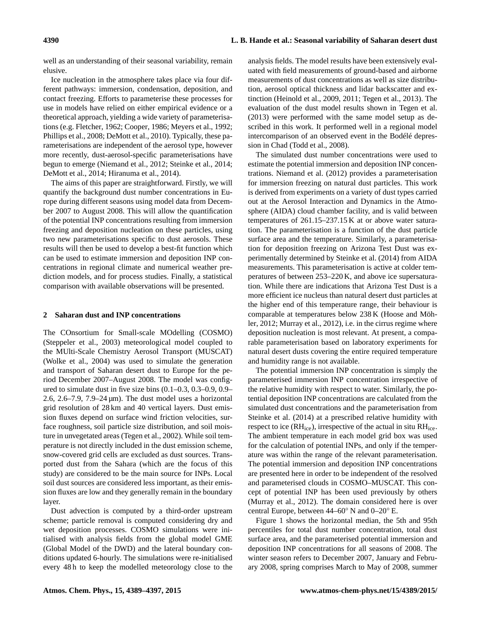well as an understanding of their seasonal variability, remain elusive.

Ice nucleation in the atmosphere takes place via four different pathways: immersion, condensation, deposition, and contact freezing. Efforts to parameterise these processes for use in models have relied on either empirical evidence or a theoretical approach, yielding a wide variety of parameterisations (e.g. [Fletcher,](#page-7-16) [1962;](#page-7-16) [Cooper,](#page-7-17) [1986;](#page-7-17) [Meyers et al.,](#page-7-18) [1992;](#page-7-18) [Phillips et al.,](#page-8-6) [2008;](#page-8-6) [DeMott et al.,](#page-7-19) [2010\)](#page-7-19). Typically, these parameterisations are independent of the aerosol type, however more recently, dust-aerosol-specific parameterisations have begun to emerge [\(Niemand et al.,](#page-8-7) [2012;](#page-8-7) [Steinke et al.,](#page-8-8) [2014;](#page-8-8) [DeMott et al.,](#page-7-20) [2014;](#page-7-20) [Hiranuma et al.,](#page-7-21) [2014\)](#page-7-21).

The aims of this paper are straightforward. Firstly, we will quantify the background dust number concentrations in Europe during different seasons using model data from December 2007 to August 2008. This will allow the quantification of the potential INP concentrations resulting from immersion freezing and deposition nucleation on these particles, using two new parameterisations specific to dust aerosols. These results will then be used to develop a best-fit function which can be used to estimate immersion and deposition INP concentrations in regional climate and numerical weather prediction models, and for process studies. Finally, a statistical comparison with available observations will be presented.

#### **2 Saharan dust and INP concentrations**

The COnsortium for Small-scale MOdelling (COSMO) [\(Steppeler et al.,](#page-8-9) [2003\)](#page-8-9) meteorological model coupled to the MUlti-Scale Chemistry Aerosol Transport (MUSCAT) [\(Wolke et al.,](#page-8-10) [2004\)](#page-8-10) was used to simulate the generation and transport of Saharan desert dust to Europe for the period December 2007–August 2008. The model was configured to simulate dust in five size bins (0.1–0.3, 0.3–0.9, 0.9– 2.6, 2.6–7.9, 7.9–24 µm). The dust model uses a horizontal grid resolution of 28 km and 40 vertical layers. Dust emission fluxes depend on surface wind friction velocities, surface roughness, soil particle size distribution, and soil moisture in unvegetated areas [\(Tegen et al.,](#page-8-11) [2002\)](#page-8-11). While soil temperature is not directly included in the dust emission scheme, snow-covered grid cells are excluded as dust sources. Transported dust from the Sahara (which are the focus of this study) are considered to be the main source for INPs. Local soil dust sources are considered less important, as their emission fluxes are low and they generally remain in the boundary layer.

Dust advection is computed by a third-order upstream scheme; particle removal is computed considering dry and wet deposition processes. COSMO simulations were initialised with analysis fields from the global model GME (Global Model of the DWD) and the lateral boundary conditions updated 6-hourly. The simulations were re-initialised every 48 h to keep the modelled meteorology close to the

analysis fields. The model results have been extensively evaluated with field measurements of ground-based and airborne measurements of dust concentrations as well as size distribution, aerosol optical thickness and lidar backscatter and extinction [\(Heinold et al.,](#page-7-22) [2009,](#page-7-22) [2011;](#page-7-23) [Tegen et al.,](#page-8-12) [2013\)](#page-8-12). The evaluation of the dust model results shown in [Tegen et al.](#page-8-12) [\(2013\)](#page-8-12) were performed with the same model setup as described in this work. It performed well in a regional model intercomparison of an observed event in the Bodélé depression in Chad [\(Todd et al.,](#page-8-13) [2008\)](#page-8-13).

The simulated dust number concentrations were used to estimate the potential immersion and deposition INP concentrations. [Niemand et al.](#page-8-7) [\(2012\)](#page-8-7) provides a parameterisation for immersion freezing on natural dust particles. This work is derived from experiments on a variety of dust types carried out at the Aerosol Interaction and Dynamics in the Atmosphere (AIDA) cloud chamber facility, and is valid between temperatures of 261.15–237.15 K at or above water saturation. The parameterisation is a function of the dust particle surface area and the temperature. Similarly, a parameterisation for deposition freezing on Arizona Test Dust was experimentally determined by [Steinke et al.](#page-8-8) [\(2014\)](#page-8-8) from AIDA measurements. This parameterisation is active at colder temperatures of between 253–220 K, and above ice supersaturation. While there are indications that Arizona Test Dust is a more efficient ice nucleus than natural desert dust particles at the higher end of this temperature range, their behaviour is comparable at temperatures below 238 K [\(Hoose and Möh](#page-7-5)[ler,](#page-7-5) [2012;](#page-7-5) [Murray et al.,](#page-8-0) [2012\)](#page-8-0), i.e. in the cirrus regime where deposition nucleation is most relevant. At present, a comparable parameterisation based on laboratory experiments for natural desert dusts covering the entire required temperature and humidity range is not available.

The potential immersion INP concentration is simply the parameterised immersion INP concentration irrespective of the relative humidity with respect to water. Similarly, the potential deposition INP concentrations are calculated from the simulated dust concentrations and the parameterisation from [Steinke et al.](#page-8-8) [\(2014\)](#page-8-8) at a prescribed relative humidity with respect to ice  $(RH<sub>ice</sub>)$ , irrespective of the actual in situ  $RH<sub>ice</sub>$ . The ambient temperature in each model grid box was used for the calculation of potential INPs, and only if the temperature was within the range of the relevant parameterisation. The potential immersion and deposition INP concentrations are presented here in order to be independent of the resolved and parameterised clouds in COSMO–MUSCAT. This concept of potential INP has been used previously by others [\(Murray et al.,](#page-8-0) [2012\)](#page-8-0). The domain considered here is over central Europe, between 44–60◦ N and 0–20◦ E.

Figure [1](#page-2-0) shows the horizontal median, the 5th and 95th percentiles for total dust number concentration, total dust surface area, and the parameterised potential immersion and deposition INP concentrations for all seasons of 2008. The winter season refers to December 2007, January and February 2008, spring comprises March to May of 2008, summer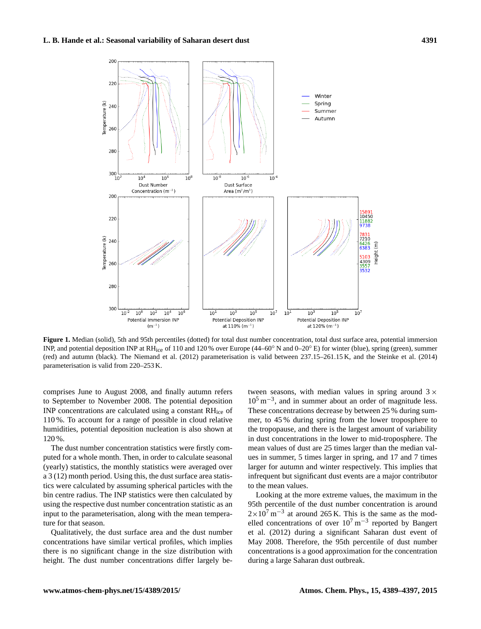<span id="page-2-0"></span>

Figure 1. Median (solid), 5th and 95th percentiles (dotted) for total dust number concentration, total dust surface area, potential immersion INP, and potential deposition INP at RHice of 110 and 120 % over Europe (44–60◦ N and 0–20◦ E) for winter (blue), spring (green), summer (red) and autumn (black). The [Niemand et al.](#page-8-7) [\(2012\)](#page-8-7) parameterisation is valid between 237.15–261.15 K, and the [Steinke et al.](#page-8-8) [\(2014\)](#page-8-8) parameterisation is valid from 220–253 K.

comprises June to August 2008, and finally autumn refers to September to November 2008. The potential deposition INP concentrations are calculated using a constant RHice of 110 %. To account for a range of possible in cloud relative humidities, potential deposition nucleation is also shown at 120 %.

The dust number concentration statistics were firstly computed for a whole month. Then, in order to calculate seasonal (yearly) statistics, the monthly statistics were averaged over a 3 (12) month period. Using this, the dust surface area statistics were calculated by assuming spherical particles with the bin centre radius. The INP statistics were then calculated by using the respective dust number concentration statistic as an input to the parameterisation, along with the mean temperature for that season.

Qualitatively, the dust surface area and the dust number concentrations have similar vertical profiles, which implies there is no significant change in the size distribution with height. The dust number concentrations differ largely between seasons, with median values in spring around  $3 \times$ 10<sup>5</sup> m−<sup>3</sup> , and in summer about an order of magnitude less. These concentrations decrease by between 25 % during summer, to 45 % during spring from the lower troposphere to the tropopause, and there is the largest amount of variability in dust concentrations in the lower to mid-troposphere. The mean values of dust are 25 times larger than the median values in summer, 5 times larger in spring, and 17 and 7 times larger for autumn and winter respectively. This implies that infrequent but significant dust events are a major contributor to the mean values.

Looking at the more extreme values, the maximum in the 95th percentile of the dust number concentration is around  $2 \times 10^{7}$  m<sup>-3</sup> at around 265 K. This is the same as the modelled concentrations of over  $10^7 \text{ m}^{-3}$  reported by [Bangert](#page-7-9) [et al.](#page-7-9) [\(2012\)](#page-7-9) during a significant Saharan dust event of May 2008. Therefore, the 95th percentile of dust number concentrations is a good approximation for the concentration during a large Saharan dust outbreak.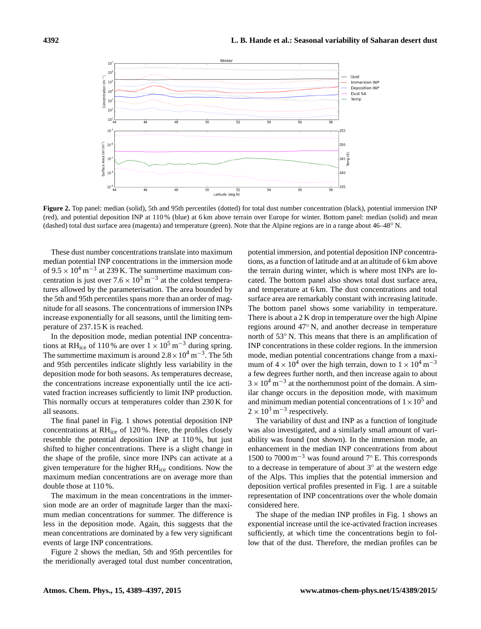<span id="page-3-0"></span>

**Figure 2.** Top panel: median (solid), 5th and 95th percentiles (dotted) for total dust number concentration (black), potential immersion INP (red), and potential deposition INP at 110 % (blue) at 6 km above terrain over Europe for winter. Bottom panel: median (solid) and mean (dashed) total dust surface area (magenta) and temperature (green). Note that the Alpine regions are in a range about 46–48◦ N.

These dust number concentrations translate into maximum median potential INP concentrations in the immersion mode of  $9.5 \times 10^4$  m<sup>-3</sup> at 239 K. The summertime maximum concentration is just over  $7.6 \times 10^3$  m<sup>-3</sup> at the coldest temperatures allowed by the parameterisation. The area bounded by the 5th and 95th percentiles spans more than an order of magnitude for all seasons. The concentrations of immersion INPs increase exponentially for all seasons, until the limiting temperature of 237.15 K is reached.

In the deposition mode, median potential INP concentrations at RH<sub>ice</sub> of 110 % are over  $1 \times 10^5$  m<sup>-3</sup> during spring. The summertime maximum is around  $2.8 \times 10^4$  m<sup>-3</sup>. The 5th and 95th percentiles indicate slightly less variability in the deposition mode for both seasons. As temperatures decrease, the concentrations increase exponentially until the ice activated fraction increases sufficiently to limit INP production. This normally occurs at temperatures colder than 230 K for all seasons.

The final panel in Fig. [1](#page-2-0) shows potential deposition INP concentrations at RHice of 120 %. Here, the profiles closely resemble the potential deposition INP at 110 %, but just shifted to higher concentrations. There is a slight change in the shape of the profile, since more INPs can activate at a given temperature for the higher RHice conditions. Now the maximum median concentrations are on average more than double those at 110 %.

The maximum in the mean concentrations in the immersion mode are an order of magnitude larger than the maximum median concentrations for summer. The difference is less in the deposition mode. Again, this suggests that the mean concentrations are dominated by a few very significant events of large INP concentrations.

Figure [2](#page-3-0) shows the median, 5th and 95th percentiles for the meridionally averaged total dust number concentration, potential immersion, and potential deposition INP concentrations, as a function of latitude and at an altitude of 6 km above the terrain during winter, which is where most INPs are located. The bottom panel also shows total dust surface area, and temperature at 6 km. The dust concentrations and total surface area are remarkably constant with increasing latitude. The bottom panel shows some variability in temperature. There is about a 2 K drop in temperature over the high Alpine regions around 47◦ N, and another decrease in temperature north of 53◦ N. This means that there is an amplification of INP concentrations in these colder regions. In the immersion mode, median potential concentrations change from a maximum of  $4 \times 10^4$  over the high terrain, down to  $1 \times 10^4$  m<sup>-3</sup> a few degrees further north, and then increase again to about  $3 \times 10^4$  m<sup>-3</sup> at the northernmost point of the domain. A similar change occurs in the deposition mode, with maximum and minimum median potential concentrations of  $1 \times 10^5$  and  $2 \times 10^3 \,\mathrm{m}^{-3}$  respectively.

The variability of dust and INP as a function of longitude was also investigated, and a similarly small amount of variability was found (not shown). In the immersion mode, an enhancement in the median INP concentrations from about 1500 to 7000 m<sup>-3</sup> was found around 7 $\degree$  E. This corresponds to a decrease in temperature of about 3◦ at the western edge of the Alps. This implies that the potential immersion and deposition vertical profiles presented in Fig. [1](#page-2-0) are a suitable representation of INP concentrations over the whole domain considered here.

The shape of the median INP profiles in Fig. [1](#page-2-0) shows an exponential increase until the ice-activated fraction increases sufficiently, at which time the concentrations begin to follow that of the dust. Therefore, the median profiles can be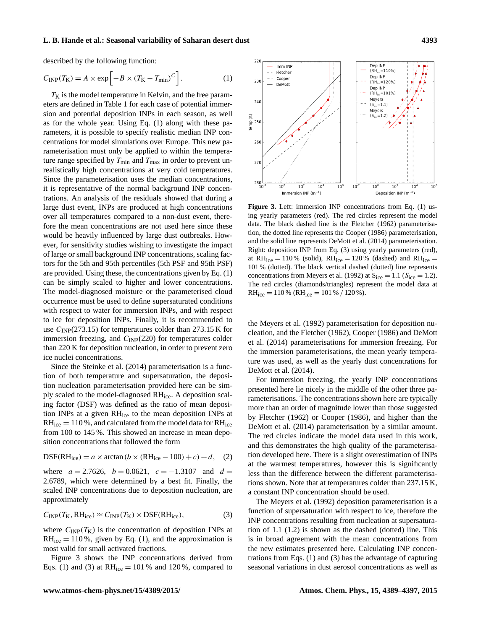#### **L. B. Hande et al.: Seasonal variability of Saharan desert dust 4393**

described by the following function:

$$
C_{\rm INP}(T_{\rm K}) = A \times \exp\left[-B \times (T_{\rm K} - T_{\rm min})^C\right].
$$
 (1)

 $T<sub>K</sub>$  is the model temperature in Kelvin, and the free parameters are defined in Table [1](#page-5-0) for each case of potential immersion and potential deposition INPs in each season, as well as for the whole year. Using Eq. [\(1\)](#page-4-0) along with these parameters, it is possible to specify realistic median INP concentrations for model simulations over Europe. This new parameterisation must only be applied to within the temperature range specified by  $T_{\text{min}}$  and  $T_{\text{max}}$  in order to prevent unrealistically high concentrations at very cold temperatures. Since the parameterisation uses the median concentrations, it is representative of the normal background INP concentrations. An analysis of the residuals showed that during a large dust event, INPs are produced at high concentrations over all temperatures compared to a non-dust event, therefore the mean concentrations are not used here since these would be heavily influenced by large dust outbreaks. However, for sensitivity studies wishing to investigate the impact of large or small background INP concentrations, scaling factors for the 5th and 95th percentiles (5th PSF and 95th PSF) are provided. Using these, the concentrations given by Eq. [\(1\)](#page-4-0) can be simply scaled to higher and lower concentrations. The model-diagnosed moisture or the parameterised cloud occurrence must be used to define supersaturated conditions with respect to water for immersion INPs, and with respect to ice for deposition INPs. Finally, it is recommended to use  $C_{\text{INP}}(273.15)$  for temperatures colder than 273.15 K for immersion freezing, and  $C_{\text{INP}}(220)$  for temperatures colder than 220 K for deposition nucleation, in order to prevent zero ice nuclei concentrations.

Since the [Steinke et al.](#page-8-8) [\(2014\)](#page-8-8) parameterisation is a function of both temperature and supersaturation, the deposition nucleation parameterisation provided here can be simply scaled to the model-diagnosed RHice. A deposition scaling factor (DSF) was defined as the ratio of mean deposition INPs at a given RHice to the mean deposition INPs at  $RH_{ice} = 110\%$ , and calculated from the model data for  $RH_{ice}$ from 100 to 145 %. This showed an increase in mean deposition concentrations that followed the form

$$
DSF(RHice) = a \times arctan (b \times (RHice - 100) + c) + d, (2)
$$

where  $a = 2.7626$ ,  $b = 0.0621$ ,  $c = -1.3107$  and  $d =$ 2.6789, which were determined by a best fit. Finally, the scaled INP concentrations due to deposition nucleation, are approximately

<span id="page-4-2"></span>
$$
C_{\text{INP}}(T_{\text{K}}, \text{RH}_{\text{ice}}) \approx C_{\text{INP}}(T_{\text{K}}) \times \text{DSF}(\text{RH}_{\text{ice}}),\tag{3}
$$

where  $C_{\text{INP}}(T_K)$  is the concentration of deposition INPs at  $RH_{ice} = 110\%$ , given by Eq. [\(1\)](#page-4-0), and the approximation is most valid for small activated fractions.

Figure [3](#page-4-1) shows the INP concentrations derived from Eqs. [\(1\)](#page-4-0) and [\(3\)](#page-4-2) at  $RH_{ice} = 101\%$  and 120%, compared to

<span id="page-4-1"></span><span id="page-4-0"></span>

**Figure 3.** Left: immersion INP concentrations from Eq. [\(1\)](#page-4-0) using yearly parameters (red). The red circles represent the model data. The black dashed line is the [Fletcher](#page-7-16) [\(1962\)](#page-7-16) parameterisation, the dotted line represents the [Cooper](#page-7-17) [\(1986\)](#page-7-17) parameterisation, and the solid line represents [DeMott et al.](#page-7-20) [\(2014\)](#page-7-20) parameterisation. Right: deposition INP from Eq. [\(3\)](#page-4-2) using yearly parameters (red), at  $RH_{ice} = 110\%$  (solid),  $RH_{ice} = 120\%$  (dashed) and  $RH_{ice} =$ 101 % (dotted). The black vertical dashed (dotted) line represents concentrations from [Meyers et al.](#page-7-18) [\(1992\)](#page-7-18) at  $S_{ice} = 1.1$  ( $S_{ice} = 1.2$ ). The red circles (diamonds/triangles) represent the model data at  $RH_{ice} = 110\%$  (RH<sub>ice</sub> = 101 % / 120 %).

the [Meyers et al.](#page-7-18) [\(1992\)](#page-7-18) parameterisation for deposition nucleation, and the [Fletcher](#page-7-16) [\(1962\)](#page-7-16), [Cooper](#page-7-17) [\(1986\)](#page-7-17) and [DeMott](#page-7-20) [et al.](#page-7-20) [\(2014\)](#page-7-20) parameterisations for immersion freezing. For the immersion parameterisations, the mean yearly temperature was used, as well as the yearly dust concentrations for [DeMott et al.](#page-7-20) [\(2014\)](#page-7-20).

For immersion freezing, the yearly INP concentrations presented here lie nicely in the middle of the other three parameterisations. The concentrations shown here are typically more than an order of magnitude lower than those suggested by [Fletcher](#page-7-16) [\(1962\)](#page-7-16) or [Cooper](#page-7-17) [\(1986\)](#page-7-17), and higher than the [DeMott et al.](#page-7-20) [\(2014\)](#page-7-20) parameterisation by a similar amount. The red circles indicate the model data used in this work, and this demonstrates the high quality of the parameterisation developed here. There is a slight overestimation of INPs at the warmest temperatures, however this is significantly less than the difference between the different parameterisations shown. Note that at temperatures colder than 237.15 K, a constant INP concentration should be used.

The [Meyers et al.](#page-7-18) [\(1992\)](#page-7-18) deposition parameterisation is a function of supersaturation with respect to ice, therefore the INP concentrations resulting from nucleation at supersaturation of 1.1 (1.2) is shown as the dashed (dotted) line. This is in broad agreement with the mean concentrations from the new estimates presented here. Calculating INP concentrations from Eqs. [\(1\)](#page-4-0) and [\(3\)](#page-4-2) has the advantage of capturing seasonal variations in dust aerosol concentrations as well as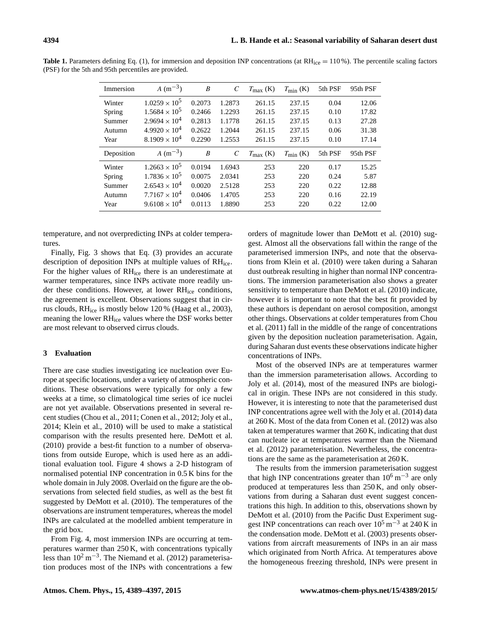| Immersion  | $A(m^{-3})$            | B      | C                     | $T_{\text{max}}$ (K) | $T_{\text{min}}$ (K) | 5th PSF | 95th PSF |
|------------|------------------------|--------|-----------------------|----------------------|----------------------|---------|----------|
| Winter     | $1.0259 \times 10^5$   | 0.2073 | 1.2873                | 261.15               | 237.15               | 0.04    | 12.06    |
| Spring     | $1.5684 \times 10^5$   | 0.2466 | 1.2293                | 261.15               | 237.15               | 0.10    | 17.82    |
| Summer     | $2.9694 \times 10^4$   | 0.2813 | 1.1778                | 261.15               | 237.15               | 0.13    | 27.28    |
| Autumn     | $4.9920 \times 10^4$   | 0.2622 | 1.2044                | 261.15               | 237.15               | 0.06    | 31.38    |
| Year       | $8.1909 \times 10^{4}$ | 0.2290 | 1.2553                | 261.15               | 237.15               | 0.10    | 17.14    |
|            |                        |        |                       |                      |                      |         |          |
| Deposition | $A(m^{-3})$            | B      | $\mathcal{C}_{0}^{0}$ | $T_{\rm max}$ (K)    | $T_{\min}$ (K)       | 5th PSF | 95th PSF |
| Winter     | $1.2663 \times 10^{5}$ | 0.0194 | 1.6943                | 253                  | 220                  | 0.17    | 15.25    |
| Spring     | $1.7836 \times 10^{5}$ | 0.0075 | 2.0341                | 253                  | 220                  | 0.24    | 5.87     |
| Summer     | $2.6543 \times 10^{4}$ | 0.0020 | 2.5128                | 253                  | 220                  | 0.22    | 12.88    |
| Autumn     | $7.7167 \times 10^{4}$ | 0.0406 | 1.4705                | 253                  | 220                  | 0.16    | 22.19    |

<span id="page-5-0"></span>Table 1. Parameters defining Eq. [\(1\)](#page-4-0), for immersion and deposition INP concentrations (at RH<sub>ice</sub> = 110%). The percentile scaling factors (PSF) for the 5th and 95th percentiles are provided.

temperature, and not overpredicting INPs at colder temperatures.

Finally, Fig. [3](#page-4-1) shows that Eq. [\(3\)](#page-4-2) provides an accurate description of deposition INPs at multiple values of RHice. For the higher values of RHice there is an underestimate at warmer temperatures, since INPs activate more readily under these conditions. However, at lower RHice conditions, the agreement is excellent. Observations suggest that in cirrus clouds, RHice is mostly below 120 % [\(Haag et al.,](#page-7-24) [2003\)](#page-7-24), meaning the lower RHice values where the DSF works better are most relevant to observed cirrus clouds.

### **3 Evaluation**

There are case studies investigating ice nucleation over Europe at specific locations, under a variety of atmospheric conditions. These observations were typically for only a few weeks at a time, so climatological time series of ice nuclei are not yet available. Observations presented in several recent studies [\(Chou et al.,](#page-7-14) [2011;](#page-7-14) [Conen et al.,](#page-7-3) [2012;](#page-7-3) [Joly et al.,](#page-7-4) [2014;](#page-7-4) [Klein et al.,](#page-7-13) [2010\)](#page-7-13) will be used to make a statistical comparison with the results presented here. [DeMott et al.](#page-7-19) [\(2010\)](#page-7-19) provide a best-fit function to a number of observations from outside Europe, which is used here as an additional evaluation tool. Figure [4](#page-6-0) shows a 2-D histogram of normalised potential INP concentration in 0.5 K bins for the whole domain in July 2008. Overlaid on the figure are the observations from selected field studies, as well as the best fit suggested by [DeMott et al.](#page-7-19) [\(2010\)](#page-7-19). The temperatures of the observations are instrument temperatures, whereas the model INPs are calculated at the modelled ambient temperature in the grid box.

From Fig. [4,](#page-6-0) most immersion INPs are occurring at temperatures warmer than 250 K, with concentrations typically less than 10<sup>2</sup> m−<sup>3</sup> . The [Niemand et al.](#page-8-7) [\(2012\)](#page-8-7) parameterisation produces most of the INPs with concentrations a few

orders of magnitude lower than [DeMott et al.](#page-7-19) [\(2010\)](#page-7-19) suggest. Almost all the observations fall within the range of the parameterised immersion INPs, and note that the observations from [Klein et al.](#page-7-13) [\(2010\)](#page-7-13) were taken during a Saharan dust outbreak resulting in higher than normal INP concentrations. The immersion parameterisation also shows a greater sensitivity to temperature than [DeMott et al.](#page-7-19) [\(2010\)](#page-7-19) indicate, however it is important to note that the best fit provided by these authors is dependant on aerosol composition, amongst other things. Observations at colder temperatures from [Chou](#page-7-14) [et al.](#page-7-14) [\(2011\)](#page-7-14) fall in the middle of the range of concentrations given by the deposition nucleation parameterisation. Again, during Saharan dust events these observations indicate higher concentrations of INPs.

Most of the observed INPs are at temperatures warmer than the immersion parameterisation allows. According to [Joly et al.](#page-7-4) [\(2014\)](#page-7-4), most of the measured INPs are biological in origin. These INPs are not considered in this study. However, it is interesting to note that the parameterised dust INP concentrations agree well with the [Joly et al.](#page-7-4) [\(2014\)](#page-7-4) data at 260 K. Most of the data from [Conen et al.](#page-7-3) [\(2012\)](#page-7-3) was also taken at temperatures warmer that 260 K, indicating that dust can nucleate ice at temperatures warmer than the [Niemand](#page-8-7) [et al.](#page-8-7) [\(2012\)](#page-8-7) parameterisation. Nevertheless, the concentrations are the same as the parameterisation at 260 K.

The results from the immersion parameterisation suggest that high INP concentrations greater than  $10^6$  m<sup>-3</sup> are only produced at temperatures less than 250 K, and only observations from during a Saharan dust event suggest concentrations this high. In addition to this, observations shown by [DeMott et al.](#page-7-19) [\(2010\)](#page-7-19) from the Pacific Dust Experiment suggest INP concentrations can reach over  $10^5$  m<sup>-3</sup> at 240 K in the condensation mode. [DeMott et al.](#page-7-7) [\(2003\)](#page-7-7) presents observations from aircraft measurements of INPs in an air mass which originated from North Africa. At temperatures above the homogeneous freezing threshold, INPs were present in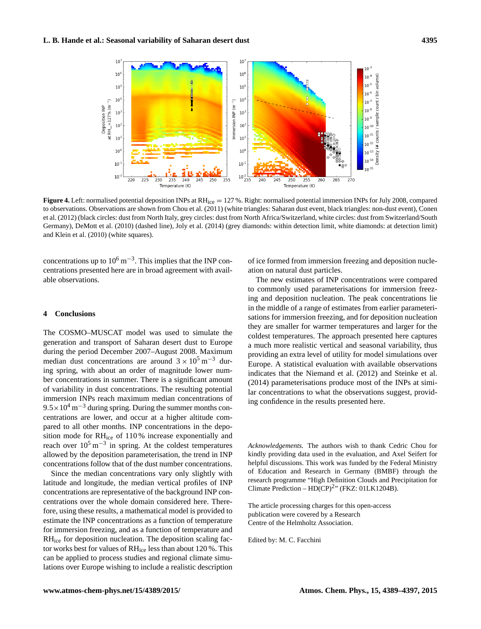<span id="page-6-0"></span>

**Figure 4.** Left: normalised potential deposition INPs at RH<sub>ice</sub> = 127%. Right: normalised potential immersion INPs for July 2008, compared to observations. Observations are shown from [Chou et al.](#page-7-14) [\(2011\)](#page-7-14) (white triangles: Saharan dust event, black triangles: non-dust event), [Conen](#page-7-3) [et al.](#page-7-3) [\(2012\)](#page-7-3) (black circles: dust from North Italy, grey circles: dust from North Africa/Switzerland, white circles: dust from Switzerland/South Germany), [DeMott et al.](#page-7-19) [\(2010\)](#page-7-19) (dashed line), [Joly et al.](#page-7-4) [\(2014\)](#page-7-4) (grey diamonds: within detection limit, white diamonds: at detection limit) and [Klein et al.](#page-7-13) [\(2010\)](#page-7-13) (white squares).

concentrations up to  $10^6 \text{ m}^{-3}$ . This implies that the INP concentrations presented here are in broad agreement with available observations.

#### **4 Conclusions**

The COSMO–MUSCAT model was used to simulate the generation and transport of Saharan desert dust to Europe during the period December 2007–August 2008. Maximum median dust concentrations are around  $3 \times 10^5$  m<sup>-3</sup> during spring, with about an order of magnitude lower number concentrations in summer. There is a significant amount of variability in dust concentrations. The resulting potential immersion INPs reach maximum median concentrations of  $9.5\times10^{4}$  m<sup>-3</sup> during spring. During the summer months concentrations are lower, and occur at a higher altitude compared to all other months. INP concentrations in the deposition mode for RHice of 110 % increase exponentially and reach over  $10^5 \text{ m}^{-3}$  in spring. At the coldest temperatures allowed by the deposition parameterisation, the trend in INP concentrations follow that of the dust number concentrations.

Since the median concentrations vary only slightly with latitude and longitude, the median vertical profiles of INP concentrations are representative of the background INP concentrations over the whole domain considered here. Therefore, using these results, a mathematical model is provided to estimate the INP concentrations as a function of temperature for immersion freezing, and as a function of temperature and RHice for deposition nucleation. The deposition scaling factor works best for values of RH<sub>ice</sub> less than about 120 %. This can be applied to process studies and regional climate simulations over Europe wishing to include a realistic description

of ice formed from immersion freezing and deposition nucleation on natural dust particles.

The new estimates of INP concentrations were compared to commonly used parameterisations for immersion freezing and deposition nucleation. The peak concentrations lie in the middle of a range of estimates from earlier parameterisations for immersion freezing, and for deposition nucleation they are smaller for warmer temperatures and larger for the coldest temperatures. The approach presented here captures a much more realistic vertical and seasonal variability, thus providing an extra level of utility for model simulations over Europe. A statistical evaluation with available observations indicates that the [Niemand et al.](#page-8-7) [\(2012\)](#page-8-7) and [Steinke et al.](#page-8-8) [\(2014\)](#page-8-8) parameterisations produce most of the INPs at similar concentrations to what the observations suggest, providing confidence in the results presented here.

*Acknowledgements.* The authors wish to thank Cedric Chou for kindly providing data used in the evaluation, and Axel Seifert for helpful discussions. This work was funded by the Federal Ministry of Education and Research in Germany (BMBF) through the research programme "High Definition Clouds and Precipitation for Climate Prediction –  $HD(CP)^{2n}$  (FKZ: 01LK1204B).

The article processing charges for this open-access publication were covered by a Research Centre of the Helmholtz Association.

Edited by: M. C. Facchini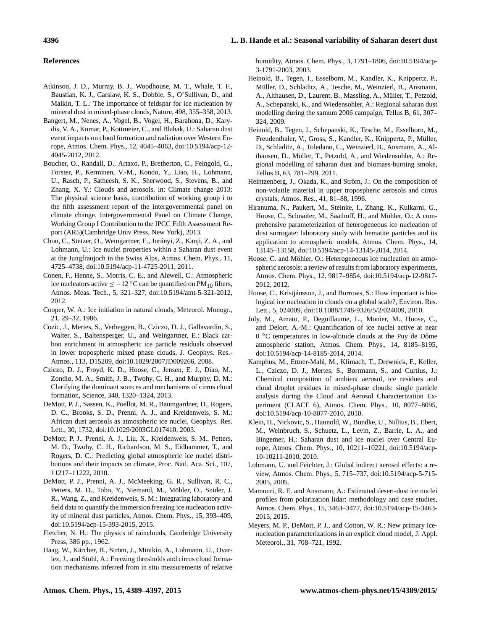# **4396 L. B. Hande et al.: Seasonal variability of Saharan desert dust**

#### **References**

- <span id="page-7-8"></span>Atkinson, J. D., Murray, B. J., Woodhouse, M. T., Whale, T. F., Baustian, K. J., Carslaw, K. S., Dobbie, S., O'Sullivan, D., and Malkin, T. L.: The importance of feldspar for ice nucleation by mineral dust in mixed-phase clouds, Nature, 498, 355–358, 2013.
- <span id="page-7-9"></span>Bangert, M., Nenes, A., Vogel, B., Vogel, H., Barahona, D., Karydis, V. A., Kumar, P., Kottmeier, C., and Blahak, U.: Saharan dust event impacts on cloud formation and radiation over Western Europe, Atmos. Chem. Phys., 12, 4045–4063, doi[:10.5194/acp-12-](http://dx.doi.org/10.5194/acp-12-4045-2012) [4045-2012,](http://dx.doi.org/10.5194/acp-12-4045-2012) 2012.
- <span id="page-7-1"></span>Boucher, O., Randall, D., Artaxo, P., Bretherton, C., Feingold, G., Forster, P., Kerminen, V.-M., Kondo, Y., Liao, H., Lohmann, U., Rasch, P., Satheesh, S. K., Sherwood, S., Stevens, B., and Zhang, X. Y.: Clouds and aerosols. in: Climate change 2013: The physical science basis, contribution of working group i to the fifth assessment report of the intergovernmental panel on climate change. Intergovernmental Panel on Climate Change, Working Group I Contribution to the IPCC Fifth Assessment Report (AR5)(Cambridge Univ Press, New York), 2013.
- <span id="page-7-14"></span>Chou, C., Stetzer, O., Weingartner, E., Jurányi, Z., Kanji, Z. A., and Lohmann, U.: Ice nuclei properties within a Saharan dust event at the Jungfraujoch in the Swiss Alps, Atmos. Chem. Phys., 11, 4725–4738, doi[:10.5194/acp-11-4725-2011,](http://dx.doi.org/10.5194/acp-11-4725-2011) 2011.
- <span id="page-7-3"></span>Conen, F., Henne, S., Morris, C. E., and Alewell, C.: Atmospheric ice nucleators active  $\leq -12$  °C can be quantified on PM<sub>10</sub> filters, Atmos. Meas. Tech., 5, 321–327, doi[:10.5194/amt-5-321-2012,](http://dx.doi.org/10.5194/amt-5-321-2012) 2012.
- <span id="page-7-17"></span>Cooper, W. A.: Ice initiation in natural clouds, Meteorol. Monogr., 21, 29–32, 1986.
- <span id="page-7-2"></span>Cozic, J., Mertes, S., Verheggen, B., Cziczo, D. J., Gallavardin, S., Walter, S., Baltensperger, U., and Weingartner, E.: Black carbon enrichment in atmospheric ice particle residuals observed in lower tropospheric mixed phase clouds, J. Geophys. Res.- Atmos., 113, D15209, doi[:10.1029/2007JD009266,](http://dx.doi.org/10.1029/2007JD009266) 2008.
- <span id="page-7-11"></span>Cziczo, D. J., Froyd, K. D., Hoose, C., Jensen, E. J., Diao, M., Zondlo, M. A., Smith, J. B., Twohy, C. H., and Murphy, D. M.: Clarifying the dominant sources and mechanisms of cirrus cloud formation, Science, 340, 1320–1324, 2013.
- <span id="page-7-7"></span>DeMott, P. J., Sassen, K., Poellot, M. R., Baumgardner, D., Rogers, D. C., Brooks, S. D., Prenni, A. J., and Kreidenweis, S. M.: African dust aerosols as atmospheric ice nuclei, Geophys. Res. Lett., 30, 1732, doi[:10.1029/2003GL017410,](http://dx.doi.org/10.1029/2003GL017410) 2003.
- <span id="page-7-19"></span>DeMott, P. J., Prenni, A. J., Liu, X., Kreidenweis, S. M., Petters, M. D., Twohy, C. H., Richardson, M. S., Eidhammer, T., and Rogers, D. C.: Predicting global atmospheric ice nuclei distributions and their impacts on climate, Proc. Natl. Aca. Sci., 107, 11217–11222, 2010.
- <span id="page-7-20"></span>DeMott, P. J., Prenni, A. J., McMeeking, G. R., Sullivan, R. C., Petters, M. D., Tobo, Y., Niemand, M., Möhler, O., Snider, J. R., Wang, Z., and Kreidenweis, S. M.: Integrating laboratory and field data to quantify the immersion freezing ice nucleation activity of mineral dust particles, Atmos. Chem. Phys., 15, 393–409, doi[:10.5194/acp-15-393-2015,](http://dx.doi.org/10.5194/acp-15-393-2015) 2015.
- <span id="page-7-16"></span>Fletcher, N. H.: The physics of rainclouds, Cambridge University Press, 386 pp., 1962.
- <span id="page-7-24"></span>Haag, W., Kärcher, B., Ström, J., Minikin, A., Lohmann, U., Ovarlez, J., and Stohl, A.: Freezing thresholds and cirrus cloud formation mechanisms inferred from in situ measurements of relative

humidity, Atmos. Chem. Phys., 3, 1791–1806, doi[:10.5194/acp-](http://dx.doi.org/10.5194/acp-3-1791-2003)[3-1791-2003,](http://dx.doi.org/10.5194/acp-3-1791-2003) 2003.

- <span id="page-7-22"></span>Heinold, B., Tegen, I., Esselborn, M., Kandler, K., Knippertz, P., Müller, D., Schladitz, A., Tesche, M., Weinzierl, B., Ansmann, A., Althausen, D., Laurent, B., Massling, A., Müller, T., Petzold, A., Schepanski, K., and Wiedensohler, A.: Regional saharan dust modelling during the samum 2006 campaign, Tellus B, 61, 307– 324, 2009.
- <span id="page-7-23"></span>Heinold, B., Tegen, I., Schepanski, K., Tesche, M., Esselborn, M., Freudenthaler, V., Gross, S., Kandler, K., Knippertz, P., Müller, D., Schladitz, A., Toledano, C., Weinzierl, B., Ansmann, A., Althausen, D., Müller, T., Petzold, A., and Wiedensohler, A.: Regional modelling of saharan dust and biomass-burning smoke, Tellus B, 63, 781–799, 2011.
- <span id="page-7-6"></span>Heintzenberg, J., Okada, K., and Ström, J.: On the composition of non-volatile material in upper tropospheric aerosols and cirrus crystals, Atmos. Res., 41, 81–88, 1996.
- <span id="page-7-21"></span>Hiranuma, N., Paukert, M., Steinke, I., Zhang, K., Kulkarni, G., Hoose, C., Schnaiter, M., Saathoff, H., and Möhler, O.: A comprehensive parameterization of heterogeneous ice nucleation of dust surrogate: laboratory study with hematite particles and its application to atmospheric models, Atmos. Chem. Phys., 14, 13145–13158, doi[:10.5194/acp-14-13145-2014,](http://dx.doi.org/10.5194/acp-14-13145-2014) 2014.
- <span id="page-7-5"></span>Hoose, C. and Möhler, O.: Heterogeneous ice nucleation on atmospheric aerosols: a review of results from laboratory experiments, Atmos. Chem. Phys., 12, 9817–9854, doi[:10.5194/acp-12-9817-](http://dx.doi.org/10.5194/acp-12-9817-2012) [2012,](http://dx.doi.org/10.5194/acp-12-9817-2012) 2012.
- <span id="page-7-12"></span>Hoose, C., Kristjánsson, J., and Burrows, S.: How important is biological ice nucleation in clouds on a global scale?, Environ. Res. Lett., 5, 024009, doi[:10.1088/1748-9326/5/2/024009,](http://dx.doi.org/10.1088/1748-9326/5/2/024009) 2010.
- <span id="page-7-4"></span>Joly, M., Amato, P., Deguillaume, L., Monier, M., Hoose, C., and Delort, A.-M.: Quantification of ice nuclei active at near 0 ◦C temperatures in low-altitude clouds at the Puy de Dôme atmospheric station, Atmos. Chem. Phys., 14, 8185–8195, doi[:10.5194/acp-14-8185-2014,](http://dx.doi.org/10.5194/acp-14-8185-2014) 2014.
- <span id="page-7-10"></span>Kamphus, M., Ettner-Mahl, M., Klimach, T., Drewnick, F., Keller, L., Cziczo, D. J., Mertes, S., Borrmann, S., and Curtius, J.: Chemical composition of ambient aerosol, ice residues and cloud droplet residues in mixed-phase clouds: single particle analysis during the Cloud and Aerosol Characterization Experiment (CLACE 6), Atmos. Chem. Phys., 10, 8077–8095, doi[:10.5194/acp-10-8077-2010,](http://dx.doi.org/10.5194/acp-10-8077-2010) 2010.
- <span id="page-7-13"></span>Klein, H., Nickovic, S., Haunold, W., Bundke, U., Nillius, B., Ebert, M., Weinbruch, S., Schuetz, L., Levin, Z., Barrie, L. A., and Bingemer, H.: Saharan dust and ice nuclei over Central Europe, Atmos. Chem. Phys., 10, 10211–10221, doi[:10.5194/acp-](http://dx.doi.org/10.5194/acp-10-10211-2010)[10-10211-2010,](http://dx.doi.org/10.5194/acp-10-10211-2010) 2010.
- <span id="page-7-0"></span>Lohmann, U. and Feichter, J.: Global indirect aerosol effects: a review, Atmos. Chem. Phys., 5, 715–737, doi[:10.5194/acp-5-715-](http://dx.doi.org/10.5194/acp-5-715-2005) [2005,](http://dx.doi.org/10.5194/acp-5-715-2005) 2005.
- <span id="page-7-15"></span>Mamouri, R. E. and Ansmann, A.: Estimated desert-dust ice nuclei profiles from polarization lidar: methodology and case studies, Atmos. Chem. Phys., 15, 3463–3477, doi[:10.5194/acp-15-3463-](http://dx.doi.org/10.5194/acp-15-3463-2015) [2015,](http://dx.doi.org/10.5194/acp-15-3463-2015) 2015.
- <span id="page-7-18"></span>Meyers, M. P., DeMott, P. J., and Cotton, W. R.: New primary icenucleation parameterizations in an explicit cloud model, J. Appl. Meteorol., 31, 708–721, 1992.